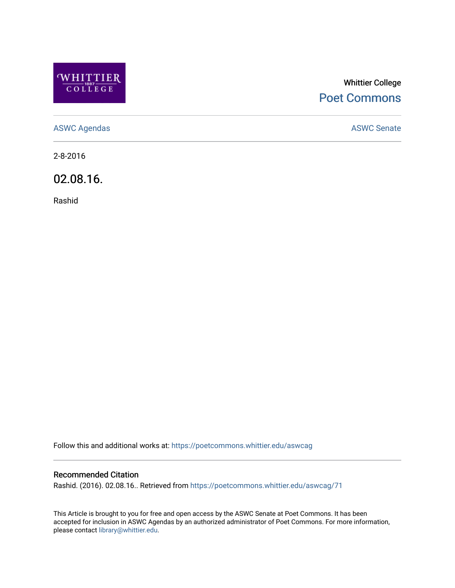

# Whittier College [Poet Commons](https://poetcommons.whittier.edu/)

[ASWC Agendas](https://poetcommons.whittier.edu/aswcag) **ASWC Senate** 

2-8-2016

02.08.16.

Rashid

Follow this and additional works at: [https://poetcommons.whittier.edu/aswcag](https://poetcommons.whittier.edu/aswcag?utm_source=poetcommons.whittier.edu%2Faswcag%2F71&utm_medium=PDF&utm_campaign=PDFCoverPages) 

## Recommended Citation

Rashid. (2016). 02.08.16.. Retrieved from [https://poetcommons.whittier.edu/aswcag/71](https://poetcommons.whittier.edu/aswcag/71?utm_source=poetcommons.whittier.edu%2Faswcag%2F71&utm_medium=PDF&utm_campaign=PDFCoverPages)

This Article is brought to you for free and open access by the ASWC Senate at Poet Commons. It has been accepted for inclusion in ASWC Agendas by an authorized administrator of Poet Commons. For more information, please contact [library@whittier.edu](mailto:library@whittier.edu).